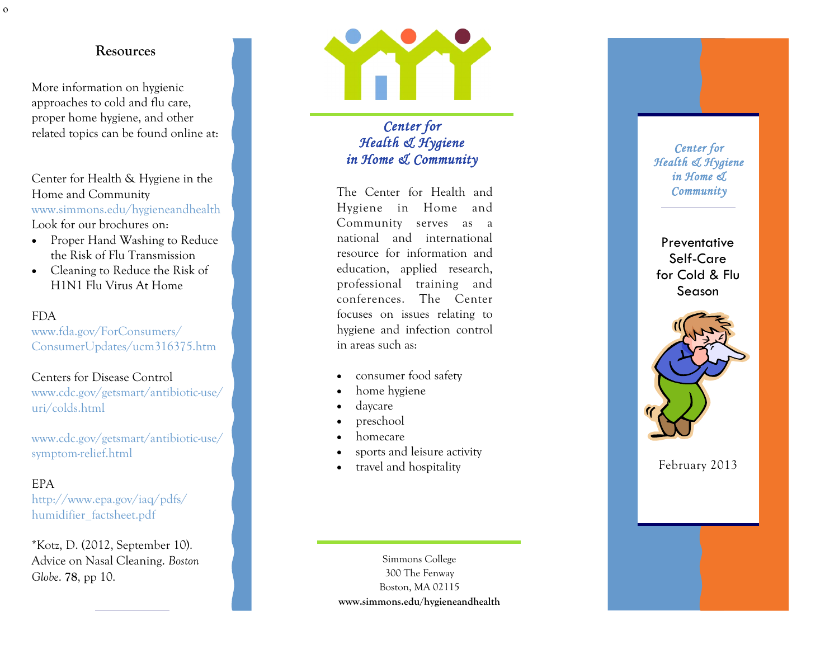More information on hygienic approaches to cold and flu care, proper home hygiene, and other related topics can be found online at:

Center for Health & Hygiene in the Home and Community www.simmons.edu/hygieneandhealth Look for our brochures on:

- Proper Hand Washing to Reduce the Risk of Flu Transmission
- Cleaning to Reduce the Risk of H1N1 Flu Virus At Home

#### FDA

www.fda.gov/ForConsumers/ ConsumerUpdates/ucm316375.htm

# Centers for Disease Control

www.cdc.gov/getsmart/antibiotic -use/ uri/colds.html

www.cdc.gov/getsmart/antibiotic -use/ symptom -relief.html

## EPA

http://www.epa.gov/iaq/pdfs/ humidifier factsheet.pdf

\*Kotz, D. (2012, September 10). Advice on Nasal Cleaning. *Boston Globe*. **78**, pp 10.



*Center for Health & Hygiene in Home & Community* 

The Center for Health and Hygiene in Home and Community serves as a national and international resource for information and education, applied research, professional training and conferences. The Center focuses on issues relating to hygiene and infection control in areas such as:

- consumer food safety
- home hygiene
- daycare
- preschool
- homecare
- sports and leisure activity
- travel and hospitality

Simmons College 300 The Fenway Boston, MA 02115 **www.simmons.edu/hygieneandhealth**

#### *Center for Health & Hygiene in Home & Community*

# **Preventative** Self -Care for Cold & Flu Season



February 2013